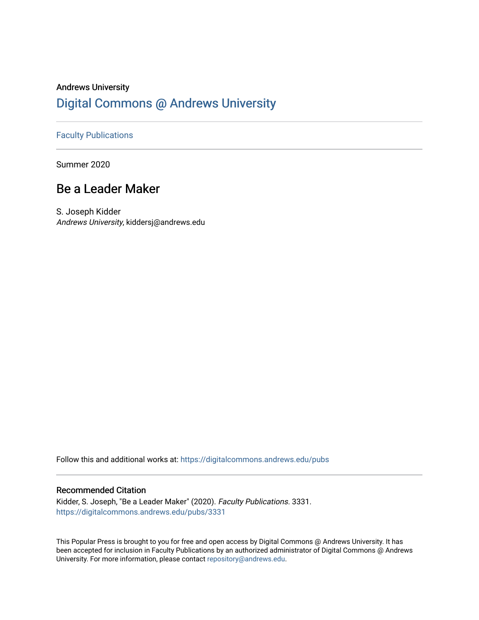# Andrews University [Digital Commons @ Andrews University](https://digitalcommons.andrews.edu/)

## [Faculty Publications](https://digitalcommons.andrews.edu/pubs)

Summer 2020

## Be a Leader Maker

S. Joseph Kidder Andrews University, kiddersj@andrews.edu

Follow this and additional works at: [https://digitalcommons.andrews.edu/pubs](https://digitalcommons.andrews.edu/pubs?utm_source=digitalcommons.andrews.edu%2Fpubs%2F3331&utm_medium=PDF&utm_campaign=PDFCoverPages) 

### Recommended Citation

Kidder, S. Joseph, "Be a Leader Maker" (2020). Faculty Publications. 3331. [https://digitalcommons.andrews.edu/pubs/3331](https://digitalcommons.andrews.edu/pubs/3331?utm_source=digitalcommons.andrews.edu%2Fpubs%2F3331&utm_medium=PDF&utm_campaign=PDFCoverPages) 

This Popular Press is brought to you for free and open access by Digital Commons @ Andrews University. It has been accepted for inclusion in Faculty Publications by an authorized administrator of Digital Commons @ Andrews University. For more information, please contact [repository@andrews.edu](mailto:repository@andrews.edu).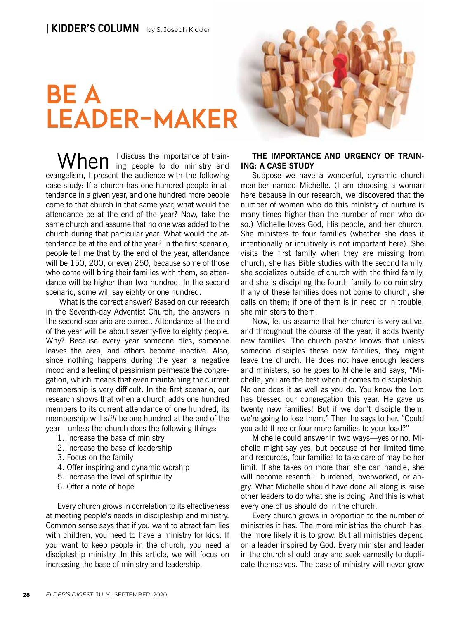# BE A LEADER-MAKER



When I discuss the importance of trainevangelism, I present the audience with the following case study: If a church has one hundred people in attendance in a given year, and one hundred more people come to that church in that same year, what would the attendance be at the end of the year? Now, take the same church and assume that no one was added to the church during that particular year. What would the attendance be at the end of the year? In the first scenario, people tell me that by the end of the year, attendance will be 150, 200, or even 250, because some of those who come will bring their families with them, so attendance will be higher than two hundred. In the second scenario, some will say eighty or one hundred.

 What is the correct answer? Based on our research in the Seventh-day Adventist Church, the answers in the second scenario are correct. Attendance at the end of the year will be about seventy-five to eighty people. Why? Because every year someone dies, someone leaves the area, and others become inactive. Also, since nothing happens during the year, a negative mood and a feeling of pessimism permeate the congregation, which means that even maintaining the current membership is very difficult. In the first scenario, our research shows that when a church adds one hundred members to its current attendance of one hundred, its membership will *still* be one hundred at the end of the year—unless the church does the following things:

- 1. Increase the base of ministry
- 2. Increase the base of leadership
- 3. Focus on the family
- 4. Offer inspiring and dynamic worship
- 5. Increase the level of spirituality
- 6. Offer a note of hope

Every church grows in correlation to its effectiveness at meeting people's needs in discipleship and ministry. Common sense says that if you want to attract families with children, you need to have a ministry for kids. If you want to keep people in the church, you need a discipleship ministry. In this article, we will focus on increasing the base of ministry and leadership.

### **THE IMPORTANCE AND URGENCY OF TRAIN-ING: A CASE STUDY**

Suppose we have a wonderful, dynamic church member named Michelle. (I am choosing a woman here because in our research, we discovered that the number of women who do this ministry of nurture is many times higher than the number of men who do so.) Michelle loves God, His people, and her church. She ministers to four families (whether she does it intentionally or intuitively is not important here). She visits the first family when they are missing from church, she has Bible studies with the second family, she socializes outside of church with the third family, and she is discipling the fourth family to do ministry. If any of these families does not come to church, she calls on them; if one of them is in need or in trouble, she ministers to them.

Now, let us assume that her church is very active, and throughout the course of the year, it adds twenty new families. The church pastor knows that unless someone disciples these new families, they might leave the church. He does not have enough leaders and ministers, so he goes to Michelle and says, "Michelle, you are the best when it comes to discipleship. No one does it as well as you do. You know the Lord has blessed our congregation this year. He gave us twenty new families! But if we don't disciple them, we're going to lose them." Then he says to her, "Could you add three or four more families to your load?"

Michelle could answer in two ways—yes or no. Michelle might say yes, but because of her limited time and resources, four families to take care of may be her limit. If she takes on more than she can handle, she will become resentful, burdened, overworked, or angry. What Michelle should have done all along is raise other leaders to do what she is doing. And this is what every one of us should do in the church.

Every church grows in proportion to the number of ministries it has. The more ministries the church has, the more likely it is to grow. But all ministries depend on a leader inspired by God. Every minister and leader in the church should pray and seek earnestly to duplicate themselves. The base of ministry will never grow